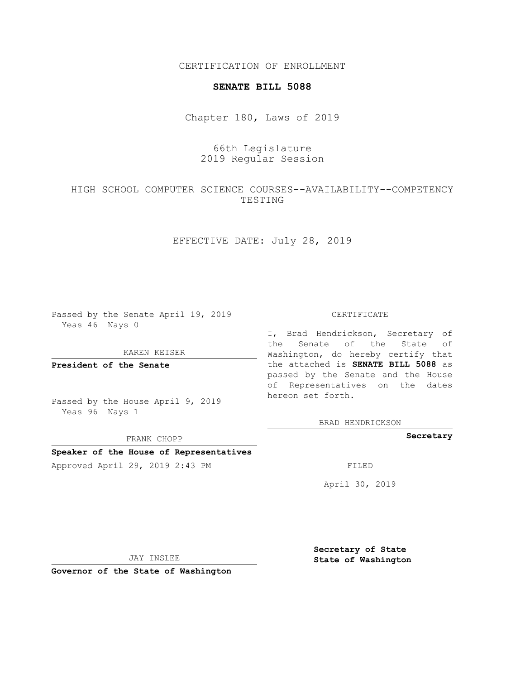CERTIFICATION OF ENROLLMENT

### **SENATE BILL 5088**

Chapter 180, Laws of 2019

# 66th Legislature 2019 Regular Session

## HIGH SCHOOL COMPUTER SCIENCE COURSES--AVAILABILITY--COMPETENCY TESTING

## EFFECTIVE DATE: July 28, 2019

Passed by the Senate April 19, 2019 Yeas 46 Nays 0

KAREN KEISER

**President of the Senate**

Passed by the House April 9, 2019 Yeas 96 Nays 1

FRANK CHOPP

### **Speaker of the House of Representatives**

Approved April 29, 2019 2:43 PM FILED

#### CERTIFICATE

I, Brad Hendrickson, Secretary of the Senate of the State of Washington, do hereby certify that the attached is **SENATE BILL 5088** as passed by the Senate and the House of Representatives on the dates hereon set forth.

BRAD HENDRICKSON

**Secretary**

April 30, 2019

JAY INSLEE

**Governor of the State of Washington**

**Secretary of State State of Washington**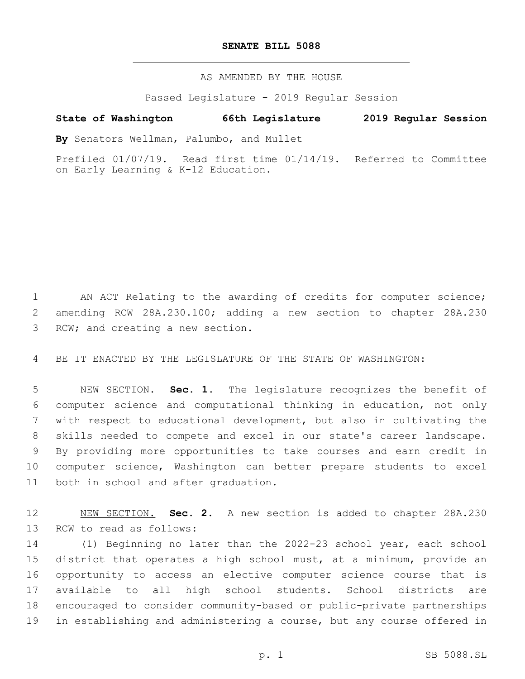### **SENATE BILL 5088**

AS AMENDED BY THE HOUSE

Passed Legislature - 2019 Regular Session

## **State of Washington 66th Legislature 2019 Regular Session**

**By** Senators Wellman, Palumbo, and Mullet

Prefiled 01/07/19. Read first time 01/14/19. Referred to Committee on Early Learning & K-12 Education.

 AN ACT Relating to the awarding of credits for computer science; amending RCW 28A.230.100; adding a new section to chapter 28A.230 3 RCW; and creating a new section.

BE IT ENACTED BY THE LEGISLATURE OF THE STATE OF WASHINGTON:

 NEW SECTION. **Sec. 1.** The legislature recognizes the benefit of computer science and computational thinking in education, not only with respect to educational development, but also in cultivating the skills needed to compete and excel in our state's career landscape. By providing more opportunities to take courses and earn credit in computer science, Washington can better prepare students to excel both in school and after graduation.

 NEW SECTION. **Sec. 2.** A new section is added to chapter 28A.230 13 RCW to read as follows:

 (1) Beginning no later than the 2022-23 school year, each school district that operates a high school must, at a minimum, provide an opportunity to access an elective computer science course that is available to all high school students. School districts are encouraged to consider community-based or public-private partnerships in establishing and administering a course, but any course offered in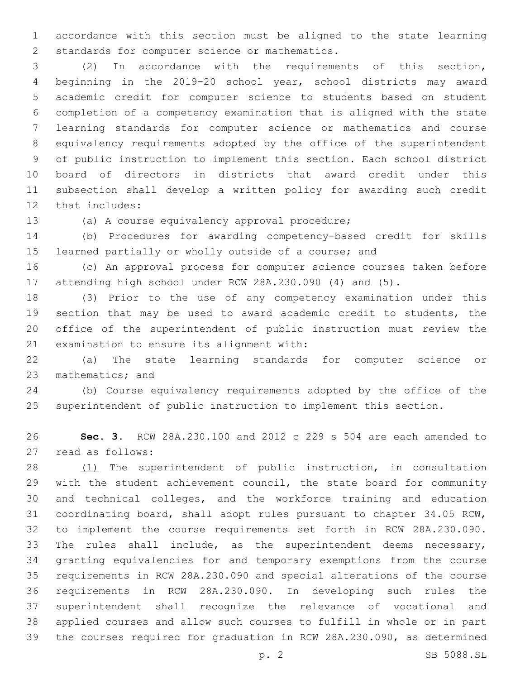accordance with this section must be aligned to the state learning 2 standards for computer science or mathematics.

 (2) In accordance with the requirements of this section, beginning in the 2019-20 school year, school districts may award academic credit for computer science to students based on student completion of a competency examination that is aligned with the state learning standards for computer science or mathematics and course equivalency requirements adopted by the office of the superintendent of public instruction to implement this section. Each school district board of directors in districts that award credit under this subsection shall develop a written policy for awarding such credit 12 that includes:

(a) A course equivalency approval procedure;13

 (b) Procedures for awarding competency-based credit for skills learned partially or wholly outside of a course; and

 (c) An approval process for computer science courses taken before attending high school under RCW 28A.230.090 (4) and (5).

 (3) Prior to the use of any competency examination under this section that may be used to award academic credit to students, the office of the superintendent of public instruction must review the 21 examination to ensure its alignment with:

 (a) The state learning standards for computer science or 23 mathematics; and

 (b) Course equivalency requirements adopted by the office of the superintendent of public instruction to implement this section.

 **Sec. 3.** RCW 28A.230.100 and 2012 c 229 s 504 are each amended to 27 read as follows:

 (1) The superintendent of public instruction, in consultation with the student achievement council, the state board for community and technical colleges, and the workforce training and education coordinating board, shall adopt rules pursuant to chapter 34.05 RCW, to implement the course requirements set forth in RCW 28A.230.090. The rules shall include, as the superintendent deems necessary, granting equivalencies for and temporary exemptions from the course requirements in RCW 28A.230.090 and special alterations of the course requirements in RCW 28A.230.090. In developing such rules the superintendent shall recognize the relevance of vocational and applied courses and allow such courses to fulfill in whole or in part the courses required for graduation in RCW 28A.230.090, as determined

p. 2 SB 5088.SL